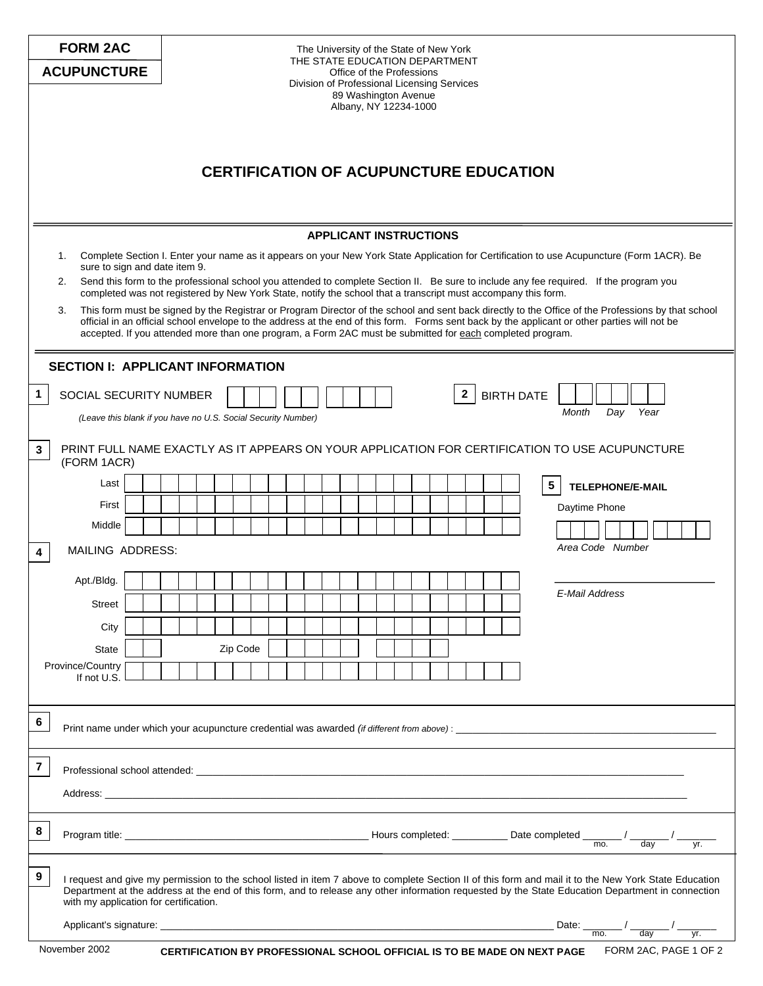|                                                                                                                                                                                                                                                                                                                                                                                                                                                                                                                                                                                                                                                                                                                                                                                                 | <b>FORM 2AC</b><br><b>ACUPUNCTURE</b>                                                 |          | The University of the State of New York<br>THE STATE EDUCATION DEPARTMENT<br>Office of the Professions<br>Division of Professional Licensing Services<br>89 Washington Avenue<br>Albany, NY 12234-1000 |                                                                                                |  |  |  |  |  |
|-------------------------------------------------------------------------------------------------------------------------------------------------------------------------------------------------------------------------------------------------------------------------------------------------------------------------------------------------------------------------------------------------------------------------------------------------------------------------------------------------------------------------------------------------------------------------------------------------------------------------------------------------------------------------------------------------------------------------------------------------------------------------------------------------|---------------------------------------------------------------------------------------|----------|--------------------------------------------------------------------------------------------------------------------------------------------------------------------------------------------------------|------------------------------------------------------------------------------------------------|--|--|--|--|--|
| <b>CERTIFICATION OF ACUPUNCTURE EDUCATION</b>                                                                                                                                                                                                                                                                                                                                                                                                                                                                                                                                                                                                                                                                                                                                                   |                                                                                       |          |                                                                                                                                                                                                        |                                                                                                |  |  |  |  |  |
|                                                                                                                                                                                                                                                                                                                                                                                                                                                                                                                                                                                                                                                                                                                                                                                                 |                                                                                       |          |                                                                                                                                                                                                        |                                                                                                |  |  |  |  |  |
| <b>APPLICANT INSTRUCTIONS</b><br>Complete Section I. Enter your name as it appears on your New York State Application for Certification to use Acupuncture (Form 1ACR). Be<br>1.<br>sure to sign and date item 9.<br>Send this form to the professional school you attended to complete Section II. Be sure to include any fee required. If the program you<br>2.<br>completed was not registered by New York State, notify the school that a transcript must accompany this form.<br>This form must be signed by the Registrar or Program Director of the school and sent back directly to the Office of the Professions by that school<br>3.<br>official in an official school envelope to the address at the end of this form. Forms sent back by the applicant or other parties will not be |                                                                                       |          |                                                                                                                                                                                                        |                                                                                                |  |  |  |  |  |
| accepted. If you attended more than one program, a Form 2AC must be submitted for each completed program.                                                                                                                                                                                                                                                                                                                                                                                                                                                                                                                                                                                                                                                                                       |                                                                                       |          |                                                                                                                                                                                                        |                                                                                                |  |  |  |  |  |
| <b>SECTION I: APPLICANT INFORMATION</b>                                                                                                                                                                                                                                                                                                                                                                                                                                                                                                                                                                                                                                                                                                                                                         |                                                                                       |          |                                                                                                                                                                                                        |                                                                                                |  |  |  |  |  |
| 1.                                                                                                                                                                                                                                                                                                                                                                                                                                                                                                                                                                                                                                                                                                                                                                                              | SOCIAL SECURITY NUMBER                                                                |          |                                                                                                                                                                                                        | <b>BIRTH DATE</b><br>$\mathbf{2}$                                                              |  |  |  |  |  |
|                                                                                                                                                                                                                                                                                                                                                                                                                                                                                                                                                                                                                                                                                                                                                                                                 | Day<br>Year<br>Month<br>(Leave this blank if you have no U.S. Social Security Number) |          |                                                                                                                                                                                                        |                                                                                                |  |  |  |  |  |
| 3                                                                                                                                                                                                                                                                                                                                                                                                                                                                                                                                                                                                                                                                                                                                                                                               | (FORM 1ACR)                                                                           |          |                                                                                                                                                                                                        | PRINT FULL NAME EXACTLY AS IT APPEARS ON YOUR APPLICATION FOR CERTIFICATION TO USE ACUPUNCTURE |  |  |  |  |  |
|                                                                                                                                                                                                                                                                                                                                                                                                                                                                                                                                                                                                                                                                                                                                                                                                 | Last                                                                                  |          |                                                                                                                                                                                                        | 5<br><b>TELEPHONE/E-MAIL</b>                                                                   |  |  |  |  |  |
|                                                                                                                                                                                                                                                                                                                                                                                                                                                                                                                                                                                                                                                                                                                                                                                                 | First                                                                                 |          |                                                                                                                                                                                                        | Daytime Phone                                                                                  |  |  |  |  |  |
|                                                                                                                                                                                                                                                                                                                                                                                                                                                                                                                                                                                                                                                                                                                                                                                                 | Middle<br>MAILING ADDRESS:                                                            |          |                                                                                                                                                                                                        | Area Code Number                                                                               |  |  |  |  |  |
| 4                                                                                                                                                                                                                                                                                                                                                                                                                                                                                                                                                                                                                                                                                                                                                                                               |                                                                                       |          |                                                                                                                                                                                                        |                                                                                                |  |  |  |  |  |
|                                                                                                                                                                                                                                                                                                                                                                                                                                                                                                                                                                                                                                                                                                                                                                                                 | Apt./Bldg.                                                                            |          |                                                                                                                                                                                                        | E-Mail Address                                                                                 |  |  |  |  |  |
|                                                                                                                                                                                                                                                                                                                                                                                                                                                                                                                                                                                                                                                                                                                                                                                                 | <b>Street</b><br>City                                                                 |          |                                                                                                                                                                                                        |                                                                                                |  |  |  |  |  |
|                                                                                                                                                                                                                                                                                                                                                                                                                                                                                                                                                                                                                                                                                                                                                                                                 | State                                                                                 | Zip Code |                                                                                                                                                                                                        |                                                                                                |  |  |  |  |  |
|                                                                                                                                                                                                                                                                                                                                                                                                                                                                                                                                                                                                                                                                                                                                                                                                 | Province/Country                                                                      |          |                                                                                                                                                                                                        |                                                                                                |  |  |  |  |  |
|                                                                                                                                                                                                                                                                                                                                                                                                                                                                                                                                                                                                                                                                                                                                                                                                 | If not U.S.                                                                           |          |                                                                                                                                                                                                        |                                                                                                |  |  |  |  |  |
| 6                                                                                                                                                                                                                                                                                                                                                                                                                                                                                                                                                                                                                                                                                                                                                                                               |                                                                                       |          |                                                                                                                                                                                                        |                                                                                                |  |  |  |  |  |
| $\overline{\mathbf{r}}$                                                                                                                                                                                                                                                                                                                                                                                                                                                                                                                                                                                                                                                                                                                                                                         |                                                                                       |          |                                                                                                                                                                                                        |                                                                                                |  |  |  |  |  |
|                                                                                                                                                                                                                                                                                                                                                                                                                                                                                                                                                                                                                                                                                                                                                                                                 |                                                                                       |          |                                                                                                                                                                                                        |                                                                                                |  |  |  |  |  |
| 8                                                                                                                                                                                                                                                                                                                                                                                                                                                                                                                                                                                                                                                                                                                                                                                               |                                                                                       |          |                                                                                                                                                                                                        | yr.                                                                                            |  |  |  |  |  |
| 9<br>I request and give my permission to the school listed in item 7 above to complete Section II of this form and mail it to the New York State Education<br>Department at the address at the end of this form, and to release any other information requested by the State Education Department in connection<br>with my application for certification.                                                                                                                                                                                                                                                                                                                                                                                                                                       |                                                                                       |          |                                                                                                                                                                                                        |                                                                                                |  |  |  |  |  |
|                                                                                                                                                                                                                                                                                                                                                                                                                                                                                                                                                                                                                                                                                                                                                                                                 |                                                                                       |          |                                                                                                                                                                                                        | Date: $\frac{1}{\sqrt{100}}$<br>day<br>yr.                                                     |  |  |  |  |  |
| November 2002<br>FORM 2AC, PAGE 1 OF 2<br><b>CERTIFICATION BY PROFESSIONAL SCHOOL OFFICIAL IS TO BE MADE ON NEXT PAGE</b>                                                                                                                                                                                                                                                                                                                                                                                                                                                                                                                                                                                                                                                                       |                                                                                       |          |                                                                                                                                                                                                        |                                                                                                |  |  |  |  |  |